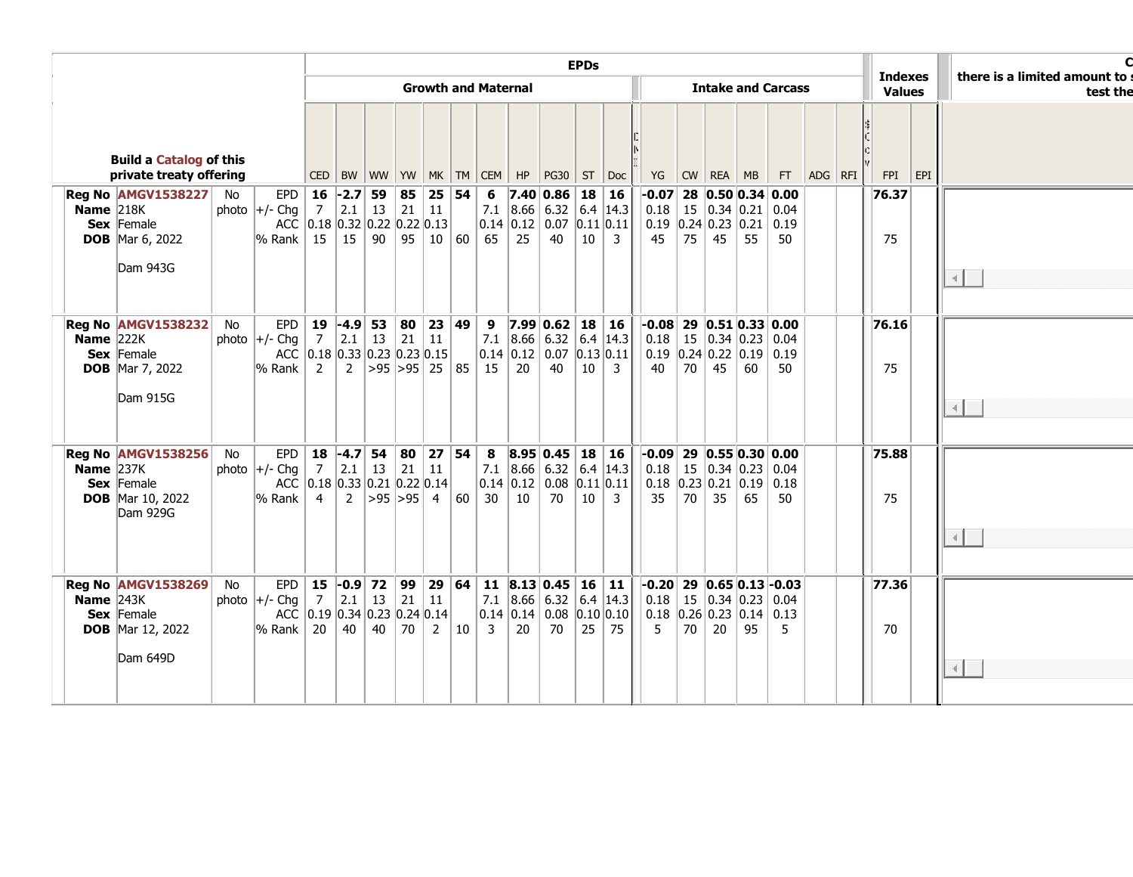|                                                           |                                                                                |    |                                                                                                            |                                                                                              | <b>EPDs</b>                |                             |  |          |                  |                                                                                |    |                                                                                                       |    |                                                                                                                                                       |                                                                  |                           |    | <b>Indexes</b> |                                                                                                                                                                       | there is a limited amount to : |  |             |               |                |
|-----------------------------------------------------------|--------------------------------------------------------------------------------|----|------------------------------------------------------------------------------------------------------------|----------------------------------------------------------------------------------------------|----------------------------|-----------------------------|--|----------|------------------|--------------------------------------------------------------------------------|----|-------------------------------------------------------------------------------------------------------|----|-------------------------------------------------------------------------------------------------------------------------------------------------------|------------------------------------------------------------------|---------------------------|----|----------------|-----------------------------------------------------------------------------------------------------------------------------------------------------------------------|--------------------------------|--|-------------|---------------|----------------|
|                                                           |                                                                                |    |                                                                                                            |                                                                                              | <b>Growth and Maternal</b> |                             |  |          |                  |                                                                                |    |                                                                                                       |    |                                                                                                                                                       |                                                                  | <b>Intake and Carcass</b> |    |                |                                                                                                                                                                       |                                |  |             | <b>Values</b> | test the       |
| <b>Build a Catalog of this</b><br>private treaty offering |                                                                                |    |                                                                                                            |                                                                                              |                            |                             |  |          |                  |                                                                                |    |                                                                                                       |    |                                                                                                                                                       | CED BW WW YW MK TM CEM HP PG30 ST Doc  YG CW REA MB  FT  ADG RFI |                           |    |                |                                                                                                                                                                       |                                |  |             | $FPI$ $EPI$   |                |
| Name $218K$                                               | Reg No AMGV1538227<br>Sex Female<br><b>DOB</b> Mar 6, 2022<br>Dam 943G         | No | photo $ +/-$ Chg $ $<br>$\frac{1}{6}$ Rank   15                                                            | EPD   16 $\mid$ -2.7   59  <br>7<br>ACC 0.18 0.32 0.22 0.22 0.13                             |                            | $2.1$ 13 21 11              |  | 85 25 54 |                  | 6<br>$\vert$ 15 $\vert$ 90 $\vert$ 95 $\vert$ 10 $\vert$ 60 $\vert$ 65 $\vert$ | 25 | 7.40 0.86 18 16<br>40                                                                                 |    | 7.1 $ 8.66 $ 6.32 6.4 14.3<br> 0.14 0.12 0.07 0.11 0.11 <br>$10 \mid 3$                                                                               | 45                                                               | 75                        | 45 | 55             | $-0.07$ 28 0.50 0.34 0.00<br>$\vert 0.18 \vert 15 \vert 0.34 \vert 0.21 \vert 0.04$<br>$\vert 0.19 \vert 0.24 \vert 0.23 \vert 0.21 \vert 0.19$<br>50                 |                                |  | 76.37<br>75 |               | $\blacksquare$ |
| <b>Name</b> $222K$                                        | <b>Reg No AMGV1538232</b><br>Sex Female<br><b>DOB</b> Mar 7, 2022<br>Dam 915G  | No | photo $\left +\right $ - Chq $\left 7\right $<br>$\%$ Rank $\ $                                            | EPD 19 -4.9 53 80 23<br>Chg 7 2.1 13 21 11<br>ACC 0.18 0.33 0.23 0.23 0.15<br>$\overline{2}$ |                            | 2   $>95$   $>95$   25   85 |  |          | 23 49            | $\vert$ 15                                                                     | 20 | 9 7.99 0.62 18 16<br>$\vert 0.14 \, \vert 0.12 \, \vert 0.07 \, \vert 0.13 \, \vert 0.11 \vert$<br>40 | 10 | 7.1 $ 8.66 $ 6.32 6.4 14.3<br>$\overline{3}$                                                                                                          | 40                                                               | 70                        | 45 | 60             | $-0.08$ 29 $0.51$ $0.33$ $0.00$<br>$\vert 0.18 \vert 15 \vert 0.34 \vert 0.23 \vert 0.04$<br>$\vert 0.19 \vert 0.24 \vert 0.22 \vert 0.19 \vert 0.19$<br>50           |                                |  | 76.16<br>75 |               |                |
| <b>Name</b> $237K$                                        | <b>Reg No AMGV1538256</b><br>Sex Female<br><b>DOB</b> Mar 10, 2022<br>Dam 929G | No | photo +/- Chg   7   2.1   13   21   11<br>ACC 0.18 0.33 0.21 0.22 0.14<br>$\frac{1}{6}$ Rank $\frac{1}{4}$ | EPD   18 $-4.7$ 54 80                                                                        |                            | 2   $>95$   $>95$   4   60  |  | 27 54    |                  | 8<br>30 <sup>1</sup>                                                           | 10 | 8.95 0.45 18 16<br> 0.14 0.12 0.08 0.11 0.11<br>70                                                    | 10 | 7.1 $ 8.66 $ 6.32 6.4 14.3<br>$\overline{\mathbf{3}}$                                                                                                 | 35                                                               | 70                        | 35 | 65             | $-0.09$ 29 0.55 0.30 0.00<br>$\vert 0.18 \vert 15 \vert 0.34 \vert 0.23 \vert 0.04$<br>$\vert 0.18 \vert 0.23 \vert 0.21 \vert 0.19 \vert 0.18$<br>50                 |                                |  | 75.88<br>75 |               |                |
| <b>Name</b> $243K$                                        | Reg No AMGV1538269<br>Sex Female<br><b>DOB</b> Mar 12, 2022<br>Dam 649D        | No | photo $ +/$ - Chg   7   2.1   13   21   11<br>$\%$ Rank $\ $ 20                                            | ACC $\vert 0.19 \vert 0.34 \vert 0.23 \vert 0.24 \vert 0.14$                                 |                            | $40 \mid 40 \mid 70 \mid$   |  |          | $2 \mid 10 \mid$ | $\overline{\mathbf{3}}$                                                        | 20 | 70                                                                                                    |    | EPD   15 $\text{-}0.9$   72   99   29   64   11   8.13   0.45   16   11  <br>7.1 $ 8.66 $ 6.32 6.4 14.3<br> 0.14 0.14 0.08 0.10 0.10 <br>$25 \mid 75$ | 5                                                                | 70                        | 20 | 95             | $\left  -0.20 \right  29$ 0.65 0.13 - 0.03<br>$\vert 0.18 \vert 15 \vert 0.34 \vert 0.23 \vert 0.04$<br>$\vert 0.18 \vert 0.26 \vert 0.23 \vert 0.14 \vert 0.13$<br>5 |                                |  | 77.36<br>70 |               |                |